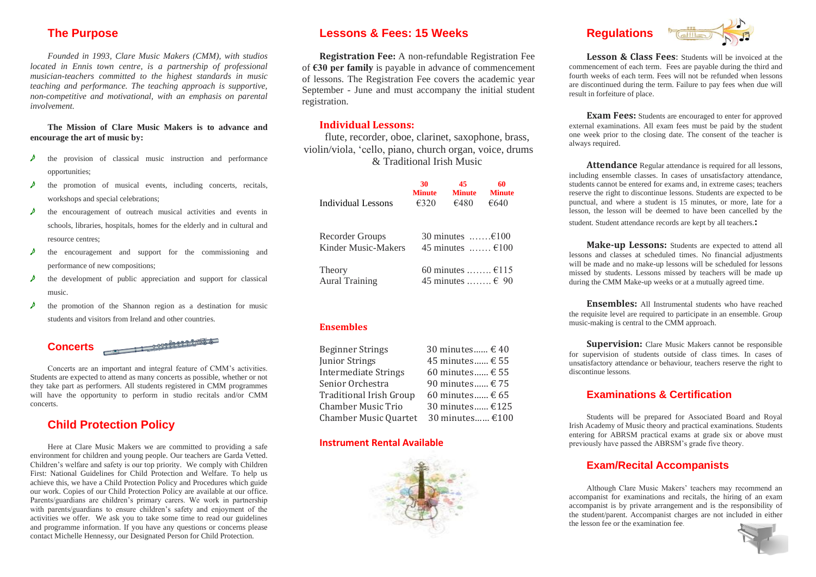# **The Purpose**

*Founded in 1993, Clare Music Makers (CMM), with studios located in Ennis town centre, is a partnership of professional musician-teachers committed to the highest standards in music teaching and performance. The teaching approach is supportive, non-competitive and motivational, with an emphasis on parental involvement.*

**The Mission of Clare Music Makers is to advance and encourage the art of music by:**

- the provision of classical music instruction and performance opportunities;
- the promotion of musical events, including concerts, recitals, workshops and special celebrations;
- the encouragement of outreach musical activities and events in schools, libraries, hospitals, homes for the elderly and in cultural and resource centres;
- e the encouragement and support for the commissioning and performance of new compositions;
- the development of public appreciation and support for classical music.
- $\lambda$  the promotion of the Shannon region as a destination for music students and visitors from Ireland and other countries.

**Concerts**

 $\sqrt{2\pi\sqrt{2}}$ 

Concerts are an important and integral feature of CMM's activities. Students are expected to attend as many concerts as possible, whether or not they take part as performers. All students registered in CMM programmes will have the opportunity to perform in studio recitals and/or CMM concerts.

#### **Child Protection Policy**

Here at Clare Music Makers we are committed to providing a safe environment for children and young people. Our teachers are Garda Vetted. Children's welfare and safety is our top priority. We comply with Children First: National Guidelines for Child Protection and Welfare. To help us achieve this, we have a Child Protection Policy and Procedures which guide our work. Copies of our Child Protection Policy are available at our office. Parents/guardians are children's primary carers. We work in partnership with parents/guardians to ensure children's safety and enjoyment of the activities we offer. We ask you to take some time to read our guidelines and programme information. If you have any questions or concerns please contact Michelle Hennessy, our Designated Person for Child Protection.

#### **Lessons & Fees: 15 Weeks**

**Registration Fee:** A non-refundable Registration Fee of **€30 per family** is payable in advance of commencement of lessons. The Registration Fee covers the academic year September - June and must accompany the initial student registration.

#### **Individual Lessons:**

flute, recorder, oboe, clarinet, saxophone, brass, violin/viola, 'cello, piano, church organ, voice, drums & Traditional Irish Music

| Individual Lessons              | 30                               | 45                                       | 60            |
|---------------------------------|----------------------------------|------------------------------------------|---------------|
|                                 | <b>Minute</b>                    | <b>Minute</b>                            | <b>Minute</b> |
|                                 | £320                             | €480                                     | €640          |
| Recorder Groups                 | 30 minutes $\dots \dots \in 100$ |                                          |               |
| Kinder Music-Makers             | 45 minutes $£100$                |                                          |               |
| Theory<br><b>Aural Training</b> |                                  | 60 minutes $£115$<br>45 minutes $\in$ 90 |               |

#### **Ensembles**

| 30 minutes $\in$ 40 |
|---------------------|
| 45 minutes € 55     |
| 60 minutes € 55     |
| 90 minutes $\in$ 75 |
| 60 minutes $\in$ 65 |
| 30 minutes €125     |
| 30 minutes €100     |
|                     |

#### **Instrument Rental Available**







**Lesson & Class Fees**: Students will be invoiced at the commencement of each term. Fees are payable during the third and fourth weeks of each term. Fees will not be refunded when lessons are discontinued during the term. Failure to pay fees when due will result in forfeiture of place.

**Exam Fees:** Students are encouraged to enter for approved external examinations. All exam fees must be paid by the student one week prior to the closing date. The consent of the teacher is always required.

**Attendance** Regular attendance is required for all lessons, including ensemble classes. In cases of unsatisfactory attendance, students cannot be entered for exams and, in extreme cases; teachers reserve the right to discontinue lessons. Students are expected to be punctual, and where a student is 15 minutes, or more, late for a lesson, the lesson will be deemed to have been cancelled by the student. Student attendance records are kept by all teachers.**:**

**Make-up Lessons:** Students are expected to attend all lessons and classes at scheduled times. No financial adjustments will be made and no make-up lessons will be scheduled for lessons missed by students. Lessons missed by teachers will be made up during the CMM Make-up weeks or at a mutually agreed time.

**Ensembles:** All Instrumental students who have reached the requisite level are required to participate in an ensemble. Group music-making is central to the CMM approach.

**Supervision:** Clare Music Makers cannot be responsible for supervision of students outside of class times. In cases of unsatisfactory attendance or behaviour, teachers reserve the right to discontinue lessons.

#### **Examinations & Certification**

Students will be prepared for Associated Board and Royal Irish Academy of Music theory and practical examinations. Students entering for ABRSM practical exams at grade six or above must previously have passed the ABRSM's grade five theory.

#### **Exam/Recital Accompanists**

Although Clare Music Makers' teachers may recommend an accompanist for examinations and recitals, the hiring of an exam accompanist is by private arrangement and is the responsibility of the student/parent. Accompanist charges are not included in either the lesson fee or the examination fee.